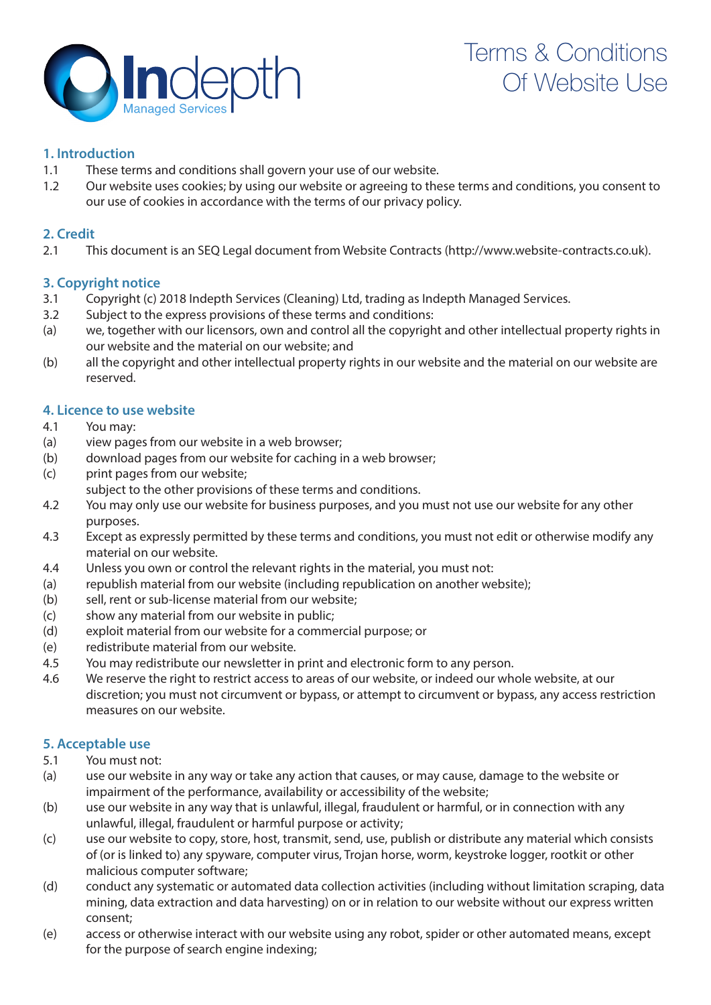

# **1. Introduction**

- 1.1 These terms and conditions shall govern your use of our website.
- 1.2 Our website uses cookies; by using our website or agreeing to these terms and conditions, you consent to our use of cookies in accordance with the terms of our privacy policy.

# **2. Credit**

2.1 This document is an SEQ Legal document from Website Contracts (http://www.website-contracts.co.uk).

# **3. Copyright notice**

- 3.1 Copyright (c) 2018 Indepth Services (Cleaning) Ltd, trading as Indepth Managed Services.
- 3.2 Subject to the express provisions of these terms and conditions:
- (a) we, together with our licensors, own and control all the copyright and other intellectual property rights in our website and the material on our website; and
- (b) all the copyright and other intellectual property rights in our website and the material on our website are reserved.

# **4. Licence to use website**

- 4.1 You may:
- (a) view pages from our website in a web browser;
- (b) download pages from our website for caching in a web browser;
- (c) print pages from our website;
- subject to the other provisions of these terms and conditions.
- 4.2 You may only use our website for business purposes, and you must not use our website for any other purposes.
- 4.3 Except as expressly permitted by these terms and conditions, you must not edit or otherwise modify any material on our website.
- 4.4 Unless you own or control the relevant rights in the material, you must not:
- (a) republish material from our website (including republication on another website);
- (b) sell, rent or sub-license material from our website;
- (c) show any material from our website in public;
- (d) exploit material from our website for a commercial purpose; or
- (e) redistribute material from our website.
- 4.5 You may redistribute our newsletter in print and electronic form to any person.
- 4.6 We reserve the right to restrict access to areas of our website, or indeed our whole website, at our discretion; you must not circumvent or bypass, or attempt to circumvent or bypass, any access restriction measures on our website.

# **5. Acceptable use**

- 5.1 You must not:
- (a) use our website in any way or take any action that causes, or may cause, damage to the website or impairment of the performance, availability or accessibility of the website;
- (b) use our website in any way that is unlawful, illegal, fraudulent or harmful, or in connection with any unlawful, illegal, fraudulent or harmful purpose or activity;
- (c) use our website to copy, store, host, transmit, send, use, publish or distribute any material which consists of (or is linked to) any spyware, computer virus, Trojan horse, worm, keystroke logger, rootkit or other malicious computer software;
- (d) conduct any systematic or automated data collection activities (including without limitation scraping, data mining, data extraction and data harvesting) on or in relation to our website without our express written consent;
- (e) access or otherwise interact with our website using any robot, spider or other automated means, except for the purpose of search engine indexing;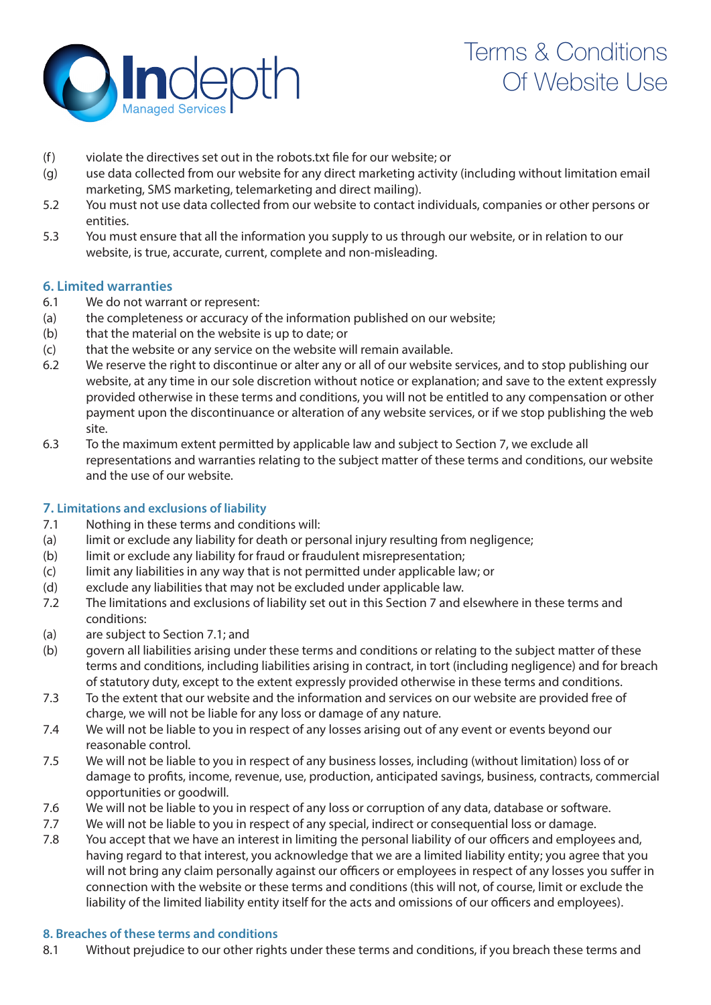

- (f) violate the directives set out in the robots.txt file for our website; or
- (g) use data collected from our website for any direct marketing activity (including without limitation email marketing, SMS marketing, telemarketing and direct mailing).
- 5.2 You must not use data collected from our website to contact individuals, companies or other persons or entities.
- 5.3 You must ensure that all the information you supply to us through our website, or in relation to our website, is true, accurate, current, complete and non-misleading.

## **6. Limited warranties**

- 6.1 We do not warrant or represent:
- (a) the completeness or accuracy of the information published on our website;
- (b) that the material on the website is up to date; or
- (c) that the website or any service on the website will remain available.
- 6.2 We reserve the right to discontinue or alter any or all of our website services, and to stop publishing our website, at any time in our sole discretion without notice or explanation; and save to the extent expressly provided otherwise in these terms and conditions, you will not be entitled to any compensation or other payment upon the discontinuance or alteration of any website services, or if we stop publishing the web site.
- 6.3 To the maximum extent permitted by applicable law and subject to Section 7, we exclude all representations and warranties relating to the subject matter of these terms and conditions, our website and the use of our website.

## **7. Limitations and exclusions of liability**

- 7.1 Nothing in these terms and conditions will:
- (a) limit or exclude any liability for death or personal injury resulting from negligence;
- (b) limit or exclude any liability for fraud or fraudulent misrepresentation;
- (c) limit any liabilities in any way that is not permitted under applicable law; or
- (d) exclude any liabilities that may not be excluded under applicable law.
- 7.2 The limitations and exclusions of liability set out in this Section 7 and elsewhere in these terms and conditions:
- (a) are subject to Section 7.1; and
- (b) govern all liabilities arising under these terms and conditions or relating to the subject matter of these terms and conditions, including liabilities arising in contract, in tort (including negligence) and for breach of statutory duty, except to the extent expressly provided otherwise in these terms and conditions.
- 7.3 To the extent that our website and the information and services on our website are provided free of charge, we will not be liable for any loss or damage of any nature.
- 7.4 We will not be liable to you in respect of any losses arising out of any event or events beyond our reasonable control.
- 7.5 We will not be liable to you in respect of any business losses, including (without limitation) loss of or damage to profits, income, revenue, use, production, anticipated savings, business, contracts, commercial opportunities or goodwill.
- 7.6 We will not be liable to you in respect of any loss or corruption of any data, database or software.
- 7.7 We will not be liable to you in respect of any special, indirect or consequential loss or damage.
- 7.8 You accept that we have an interest in limiting the personal liability of our officers and employees and, having regard to that interest, you acknowledge that we are a limited liability entity; you agree that you will not bring any claim personally against our officers or employees in respect of any losses you suffer in connection with the website or these terms and conditions (this will not, of course, limit or exclude the liability of the limited liability entity itself for the acts and omissions of our officers and employees).

### **8. Breaches of these terms and conditions**

8.1 Without prejudice to our other rights under these terms and conditions, if you breach these terms and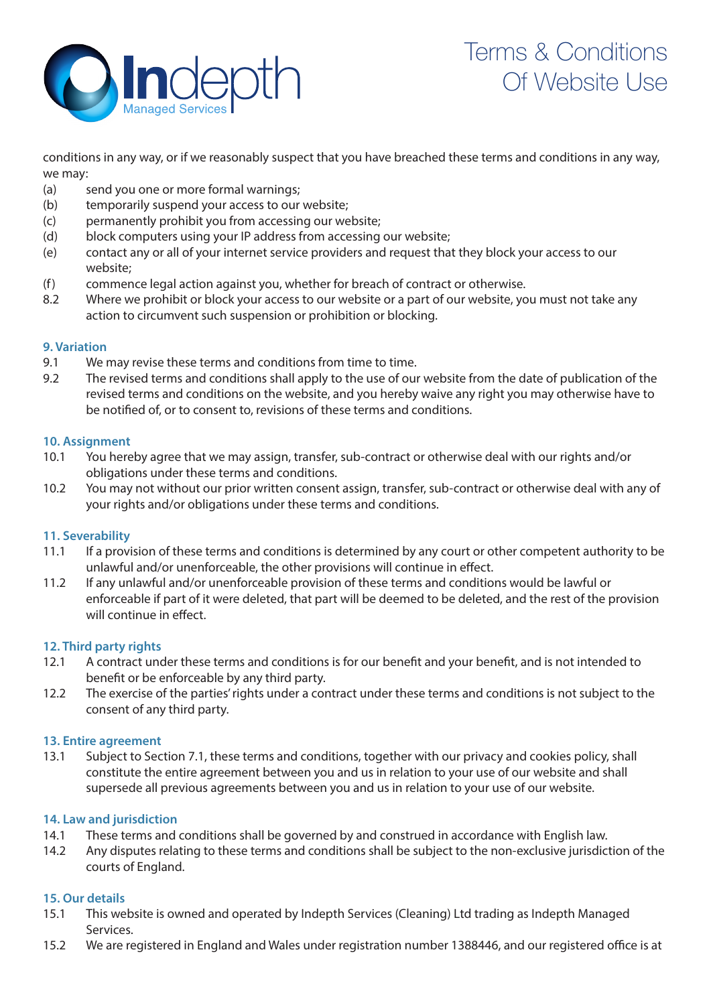

conditions in any way, or if we reasonably suspect that you have breached these terms and conditions in any way, we may:

- (a) send you one or more formal warnings;
- (b) temporarily suspend your access to our website;
- (c) permanently prohibit you from accessing our website;
- (d) block computers using your IP address from accessing our website;
- (e) contact any or all of your internet service providers and request that they block your access to our website;
- (f) commence legal action against you, whether for breach of contract or otherwise.
- 8.2 Where we prohibit or block your access to our website or a part of our website, you must not take any action to circumvent such suspension or prohibition or blocking.

### **9. Variation**

- 9.1 We may revise these terms and conditions from time to time.
- 9.2 The revised terms and conditions shall apply to the use of our website from the date of publication of the revised terms and conditions on the website, and you hereby waive any right you may otherwise have to be notified of, or to consent to, revisions of these terms and conditions.

### **10. Assignment**

- 10.1 You hereby agree that we may assign, transfer, sub-contract or otherwise deal with our rights and/or obligations under these terms and conditions.
- 10.2 You may not without our prior written consent assign, transfer, sub-contract or otherwise deal with any of your rights and/or obligations under these terms and conditions.

## **11. Severability**

- 11.1 If a provision of these terms and conditions is determined by any court or other competent authority to be unlawful and/or unenforceable, the other provisions will continue in effect.
- 11.2 If any unlawful and/or unenforceable provision of these terms and conditions would be lawful or enforceable if part of it were deleted, that part will be deemed to be deleted, and the rest of the provision will continue in effect.

### **12. Third party rights**

- 12.1 A contract under these terms and conditions is for our benefit and your benefit, and is not intended to benefit or be enforceable by any third party.
- 12.2 The exercise of the parties' rights under a contract under these terms and conditions is not subject to the consent of any third party.

### **13. Entire agreement**

13.1 Subject to Section 7.1, these terms and conditions, together with our privacy and cookies policy, shall constitute the entire agreement between you and us in relation to your use of our website and shall supersede all previous agreements between you and us in relation to your use of our website.

## **14. Law and jurisdiction**

- 14.1 These terms and conditions shall be governed by and construed in accordance with English law.
- 14.2 Any disputes relating to these terms and conditions shall be subject to the non-exclusive jurisdiction of the courts of England.

## **15. Our details**

- 15.1 This website is owned and operated by Indepth Services (Cleaning) Ltd trading as Indepth Managed Services.
- 15.2 We are registered in England and Wales under registration number 1388446, and our registered office is at